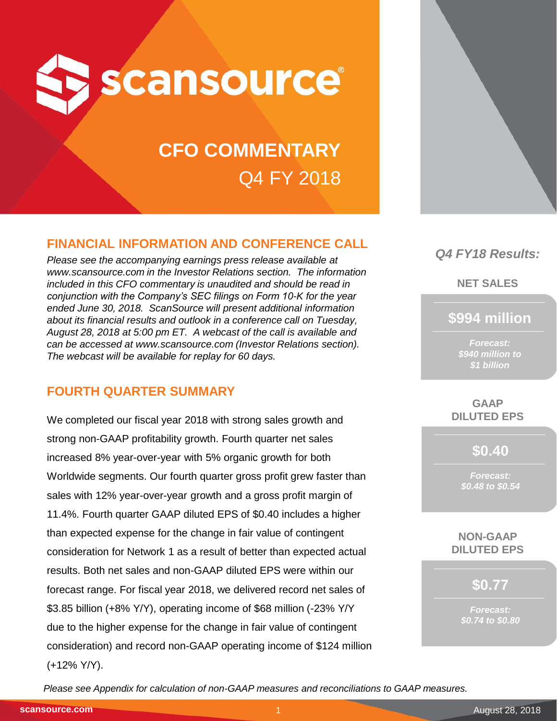

# **CFO COMMENTARY** Q4 FY 2018

# **FINANCIAL INFORMATION AND CONFERENCE CALL**

*Please see the accompanying earnings press release available at www.scansource.com in the Investor Relations section. The information included in this CFO commentary is unaudited and should be read in conjunction with the Company's SEC filings on Form 10-K for the year ended June 30, 2018. ScanSource will present additional information about its financial results and outlook in a conference call on Tuesday, August 28, 2018 at 5:00 pm ET. A webcast of the call is available and can be accessed at www.scansource.com (Investor Relations section). The webcast will be available for replay for 60 days.*

# **FOURTH QUARTER SUMMARY**

We completed our fiscal year 2018 with strong sales growth and strong non-GAAP profitability growth. Fourth quarter net sales increased 8% year-over-year with 5% organic growth for both Worldwide segments. Our fourth quarter gross profit grew faster than sales with 12% year-over-year growth and a gross profit margin of 11.4%. Fourth quarter GAAP diluted EPS of \$0.40 includes a higher than expected expense for the change in fair value of contingent consideration for Network 1 as a result of better than expected actual results. Both net sales and non-GAAP diluted EPS were within our forecast range. For fiscal year 2018, we delivered record net sales of \$3.85 billion (+8% Y/Y), operating income of \$68 million (-23% Y/Y due to the higher expense for the change in fair value of contingent consideration) and record non-GAAP operating income of \$124 million (+12% Y/Y).



# *Q4 FY18 Results:*

**NET SALES**

**\$994 million**

*Forecast: \$940 million to \$1 billion*

**GAAP DILUTED EPS**

**\$0.40**

*Forecast: \$0.48 to \$0.54*

**NON-GAAP DILUTED EPS**

**\$0.77**

*Forecast: \$0.74 to \$0.80*

*Please see Appendix for calculation of non-GAAP measures and reconciliations to GAAP measures.*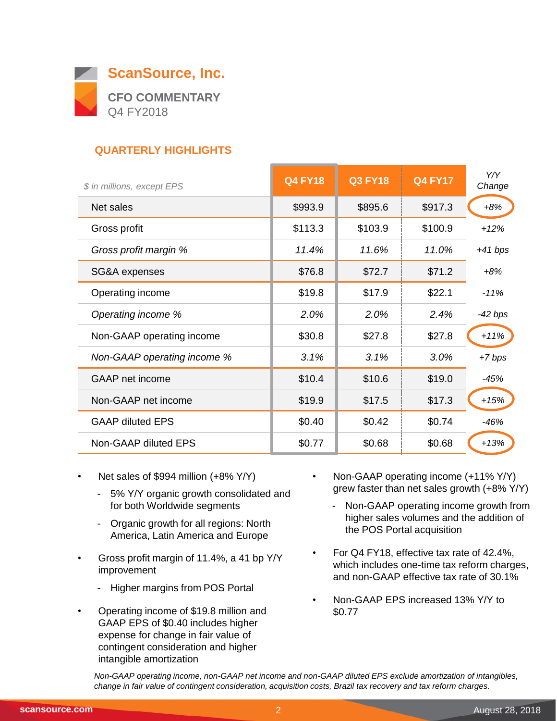

# **QUARTERLY HIGHLIGHTS**

| \$ in millions, except EPS  | <b>Q4 FY18</b> | <b>Q3 FY18</b> | <b>Q4 FY17</b> | Y/Y<br>Change |
|-----------------------------|----------------|----------------|----------------|---------------|
| Net sales                   | \$993.9        | \$895.6        | \$917.3        | $+8%$         |
| Gross profit                | \$113.3        | \$103.9        | \$100.9        | $+12%$        |
| Gross profit margin %       | 11.4%          | 11.6%          | 11.0%          | $+41$ bps     |
| SG&A expenses               | \$76.8         | \$72.7         | \$71.2         | $+8%$         |
| Operating income            | \$19.8         | \$17.9         | \$22.1         | $-11%$        |
| Operating income %          | 2.0%           | 2.0%           | 2.4%           | $-42$ bps     |
| Non-GAAP operating income   | \$30.8         | \$27.8         | \$27.8         | $+11%$        |
| Non-GAAP operating income % | 3.1%           | 3.1%           | 3.0%           | $+7$ bps      |
| <b>GAAP</b> net income      | \$10.4         | \$10.6         | \$19.0         | $-45%$        |
| Non-GAAP net income         | \$19.9         | \$17.5         | \$17.3         | $+15%$        |
| <b>GAAP diluted EPS</b>     | \$0.40         | \$0.42         | \$0.74         | $-46%$        |
| Non-GAAP diluted EPS        | \$0.77         | \$0.68         | \$0.68         | $+13%$        |

- Net sales of \$994 million (+8% Y/Y)
	- 5% Y/Y organic growth consolidated and for both Worldwide segments
	- Organic growth for all regions: North America, Latin America and Europe
- Gross profit margin of 11.4%, a 41 bp Y/Y improvement
	- Higher margins from POS Portal
- Operating income of \$19.8 million and GAAP EPS of \$0.40 includes higher expense for change in fair value of contingent consideration and higher intangible amortization
- Non-GAAP operating income (+11% Y/Y) grew faster than net sales growth (+8% Y/Y)
	- Non-GAAP operating income growth from higher sales volumes and the addition of the POS Portal acquisition
- For Q4 FY18, effective tax rate of 42.4%, which includes one-time tax reform charges, and non-GAAP effective tax rate of 30.1%
- Non-GAAP EPS increased 13% Y/Y to \$0.77

*Non-GAAP operating income, non-GAAP net income and non-GAAP diluted EPS exclude amortization of intangibles, change in fair value of contingent consideration, acquisition costs, Brazil tax recovery and tax reform charges.*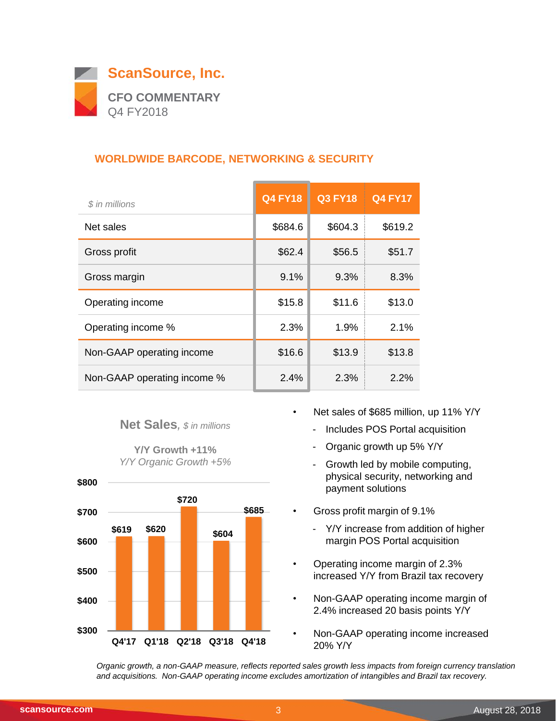

## **WORLDWIDE BARCODE, NETWORKING & SECURITY**

| \$ in millions              | <b>Q4 FY18</b> | <b>Q3 FY18</b> | <b>Q4 FY17</b> |
|-----------------------------|----------------|----------------|----------------|
| Net sales                   | \$684.6        | \$604.3        | \$619.2        |
| Gross profit                | \$62.4         | \$56.5         | \$51.7         |
| Gross margin                | 9.1%           | 9.3%           | 8.3%           |
| Operating income            | \$15.8         | \$11.6         | \$13.0         |
| Operating income %          | 2.3%           | 1.9%           | 2.1%           |
| Non-GAAP operating income   | \$16.6         | \$13.9         | \$13.8         |
| Non-GAAP operating income % | 2.4%           | 2.3%           | 2.2%           |

#### **Net Sales***, \$ in millions*

**Y/Y Growth +11%** *Y/Y Organic Growth +5%*



- Net sales of \$685 million, up 11% Y/Y
	- Includes POS Portal acquisition
	- Organic growth up 5% Y/Y
	- Growth led by mobile computing, physical security, networking and payment solutions
- Gross profit margin of 9.1%
	- Y/Y increase from addition of higher margin POS Portal acquisition
- Operating income margin of 2.3% increased Y/Y from Brazil tax recovery
- Non-GAAP operating income margin of 2.4% increased 20 basis points Y/Y
- Non-GAAP operating income increased 20% Y/Y

*Organic growth, a non-GAAP measure, reflects reported sales growth less impacts from foreign currency translation and acquisitions. Non-GAAP operating income excludes amortization of intangibles and Brazil tax recovery.*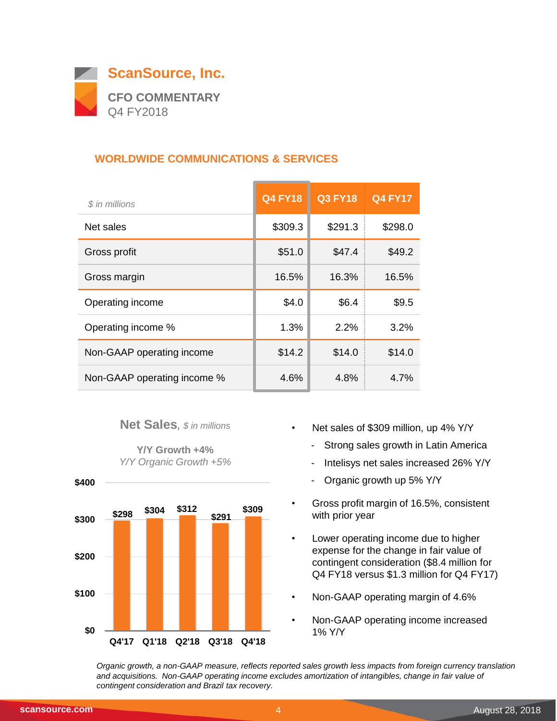

## **WORLDWIDE COMMUNICATIONS & SERVICES**

| \$ in millions              | <b>Q4 FY18</b> | <b>Q3 FY18</b> | <b>Q4 FY17</b> |
|-----------------------------|----------------|----------------|----------------|
| Net sales                   | \$309.3        | \$291.3        | \$298.0        |
| Gross profit                | \$51.0         | \$47.4         | \$49.2         |
| Gross margin                | 16.5%          | 16.3%          | 16.5%          |
| Operating income            | \$4.0          | \$6.4          | \$9.5          |
| Operating income %          | 1.3%           | 2.2%           | 3.2%           |
| Non-GAAP operating income   | \$14.2         | \$14.0         | \$14.0         |
| Non-GAAP operating income % | 4.6%           | 4.8%           | $4.7\%$        |

#### **Net Sales***, \$ in millions*

**Y/Y Growth +4%** *Y/Y Organic Growth +5%*



- Net sales of \$309 million, up 4% Y/Y
	- Strong sales growth in Latin America
	- Intelisys net sales increased 26% Y/Y
	- Organic growth up 5% Y/Y
- Gross profit margin of 16.5%, consistent with prior year
- Lower operating income due to higher expense for the change in fair value of contingent consideration (\$8.4 million for Q4 FY18 versus \$1.3 million for Q4 FY17)
- Non-GAAP operating margin of 4.6%
- Non-GAAP operating income increased 1% Y/Y

*Organic growth, a non-GAAP measure, reflects reported sales growth less impacts from foreign currency translation and acquisitions. Non-GAAP operating income excludes amortization of intangibles, change in fair value of contingent consideration and Brazil tax recovery.*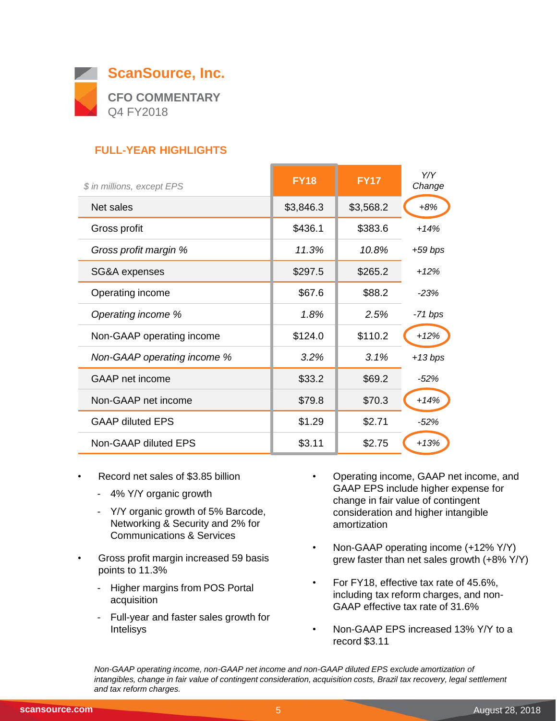

# **FULL-YEAR HIGHLIGHTS**

| \$ in millions, except EPS  | <b>FY18</b> | <b>FY17</b> | Y/Y<br>Change |
|-----------------------------|-------------|-------------|---------------|
| Net sales                   | \$3,846.3   | \$3,568.2   | $+8%$         |
| Gross profit                | \$436.1     | \$383.6     | $+14%$        |
| Gross profit margin %       | 11.3%       | 10.8%       | $+59$ bps     |
| SG&A expenses               | \$297.5     | \$265.2     | $+12%$        |
| Operating income            | \$67.6      | \$88.2      | $-23%$        |
| Operating income %          | 1.8%        | 2.5%        | -71 bps       |
| Non-GAAP operating income   | \$124.0     | \$110.2     | $+12%$        |
| Non-GAAP operating income % | 3.2%        | 3.1%        | $+13 bps$     |
| GAAP net income             | \$33.2      | \$69.2      | $-52%$        |
| Non-GAAP net income         | \$79.8      | \$70.3      | $+14%$        |
| <b>GAAP diluted EPS</b>     | \$1.29      | \$2.71      | $-52%$        |
| Non-GAAP diluted EPS        | \$3.11      | \$2.75      | $+13%$        |

- Record net sales of \$3.85 billion
	- 4% Y/Y organic growth
	- Y/Y organic growth of 5% Barcode, Networking & Security and 2% for Communications & Services
- Gross profit margin increased 59 basis points to 11.3%
	- Higher margins from POS Portal acquisition
	- Full-year and faster sales growth for Intelisys
- Operating income, GAAP net income, and GAAP EPS include higher expense for change in fair value of contingent consideration and higher intangible amortization
- Non-GAAP operating income (+12% Y/Y) grew faster than net sales growth (+8% Y/Y)
- For FY18, effective tax rate of 45.6%, including tax reform charges, and non-GAAP effective tax rate of 31.6%
- Non-GAAP EPS increased 13% Y/Y to a record \$3.11

*Non-GAAP operating income, non-GAAP net income and non-GAAP diluted EPS exclude amortization of intangibles, change in fair value of contingent consideration, acquisition costs, Brazil tax recovery, legal settlement and tax reform charges.*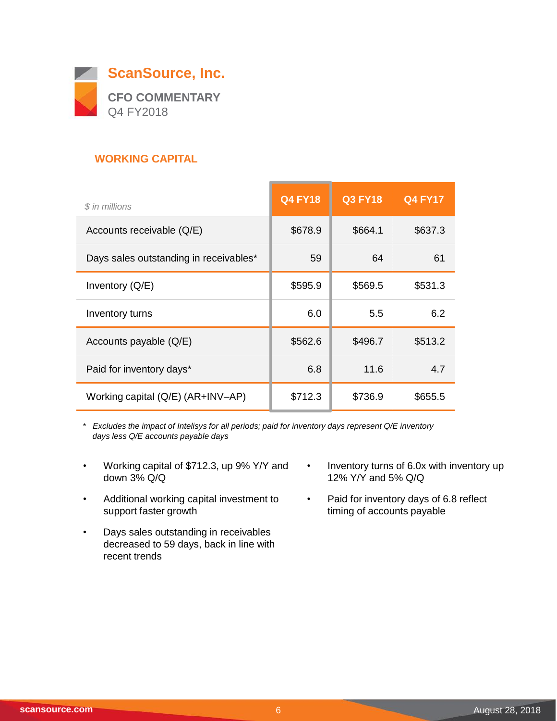

## **WORKING CAPITAL**

| \$ in millions                         | <b>Q4 FY18</b> | <b>Q3 FY18</b> | <b>Q4 FY17</b> |
|----------------------------------------|----------------|----------------|----------------|
| Accounts receivable (Q/E)              | \$678.9        | \$664.1        | \$637.3        |
| Days sales outstanding in receivables* | 59             | 64             | 61             |
| Inventory $(Q/E)$                      | \$595.9        | \$569.5        | \$531.3        |
| Inventory turns                        | 6.0            | 5.5            | 6.2            |
| Accounts payable (Q/E)                 | \$562.6        | \$496.7        | \$513.2        |
| Paid for inventory days*               | 6.8            | 11.6           | 4.7            |
| Working capital (Q/E) (AR+INV-AP)      | \$712.3        | \$736.9        | \$655.5        |

*\* Excludes the impact of Intelisys for all periods; paid for inventory days represent Q/E inventory days less Q/E accounts payable days*

- Working capital of \$712.3, up 9% Y/Y and down 3% Q/Q
- Additional working capital investment to support faster growth
- Days sales outstanding in receivables decreased to 59 days, back in line with recent trends
- Inventory turns of 6.0x with inventory up 12% Y/Y and 5% Q/Q
- Paid for inventory days of 6.8 reflect timing of accounts payable

 $\overline{\phantom{0}}$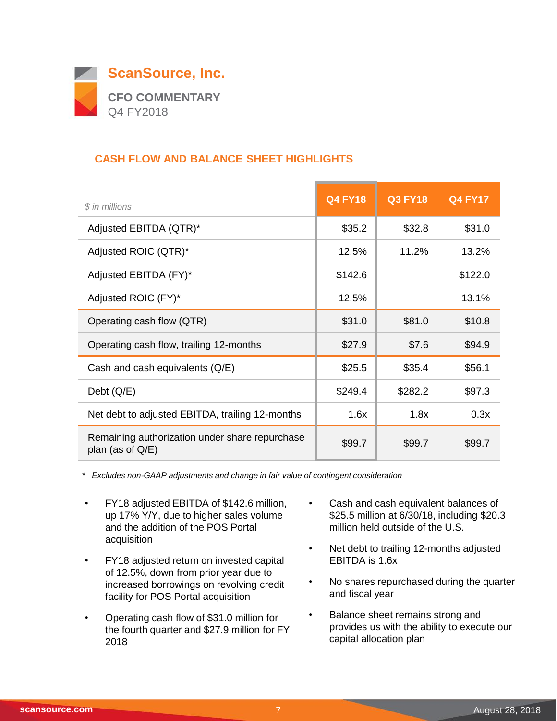

## **CASH FLOW AND BALANCE SHEET HIGHLIGHTS**

| \$ in millions                                                        | <b>Q4 FY18</b> | <b>Q3 FY18</b> | <b>Q4 FY17</b> |
|-----------------------------------------------------------------------|----------------|----------------|----------------|
| Adjusted EBITDA (QTR)*                                                | \$35.2         | \$32.8         | \$31.0         |
| Adjusted ROIC (QTR)*                                                  | 12.5%          | 11.2%          | 13.2%          |
| Adjusted EBITDA (FY)*                                                 | \$142.6        |                | \$122.0        |
| Adjusted ROIC (FY)*                                                   | 12.5%          |                | 13.1%          |
| Operating cash flow (QTR)                                             | \$31.0         | \$81.0         | \$10.8         |
| Operating cash flow, trailing 12-months                               | \$27.9         | \$7.6          | \$94.9         |
| Cash and cash equivalents (Q/E)                                       | \$25.5         | \$35.4         | \$56.1         |
| Debt $(Q/E)$                                                          | \$249.4        | \$282.2        | \$97.3         |
| Net debt to adjusted EBITDA, trailing 12-months                       | 1.6x           | 1.8x           | 0.3x           |
| Remaining authorization under share repurchase<br>plan (as of $Q/E$ ) | \$99.7         | \$99.7         | \$99.7         |

*\* Excludes non-GAAP adjustments and change in fair value of contingent consideration*

- FY18 adjusted EBITDA of \$142.6 million, up 17% Y/Y, due to higher sales volume and the addition of the POS Portal acquisition
- FY18 adjusted return on invested capital of 12.5%, down from prior year due to increased borrowings on revolving credit facility for POS Portal acquisition
- Operating cash flow of \$31.0 million for the fourth quarter and \$27.9 million for FY 2018
- Cash and cash equivalent balances of \$25.5 million at 6/30/18, including \$20.3 million held outside of the U.S.
- Net debt to trailing 12-months adjusted EBITDA is 1.6x
- No shares repurchased during the quarter and fiscal year
- Balance sheet remains strong and provides us with the ability to execute our capital allocation plan

 $\sim$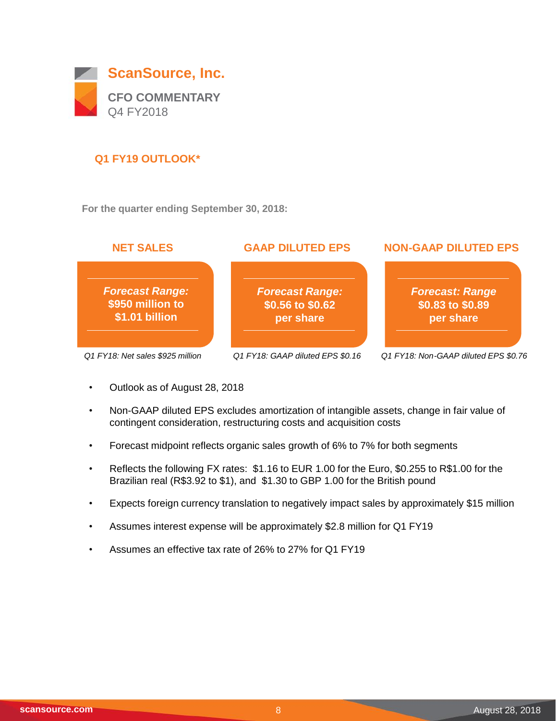

## **Q1 FY19 OUTLOOK\***

**For the quarter ending September 30, 2018:**



- Outlook as of August 28, 2018
- Non-GAAP diluted EPS excludes amortization of intangible assets, change in fair value of contingent consideration, restructuring costs and acquisition costs
- Forecast midpoint reflects organic sales growth of 6% to 7% for both segments
- Reflects the following FX rates: \$1.16 to EUR 1.00 for the Euro, \$0.255 to R\$1.00 for the Brazilian real (R\$3.92 to \$1), and \$1.30 to GBP 1.00 for the British pound
- Expects foreign currency translation to negatively impact sales by approximately \$15 million
- Assumes interest expense will be approximately \$2.8 million for Q1 FY19
- Assumes an effective tax rate of 26% to 27% for Q1 FY19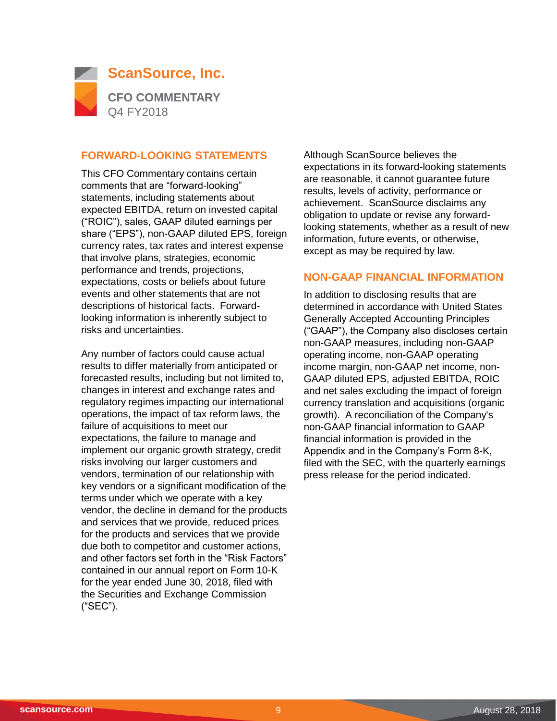

#### **FORWARD-LOOKING STATEMENTS**

This CFO Commentary contains certain comments that are "forward-looking" statements, including statements about expected EBITDA, return on invested capital ("ROIC"), sales, GAAP diluted earnings per share ("EPS"), non-GAAP diluted EPS, foreign currency rates, tax rates and interest expense that involve plans, strategies, economic performance and trends, projections, expectations, costs or beliefs about future events and other statements that are not descriptions of historical facts. Forwardlooking information is inherently subject to risks and uncertainties.

Any number of factors could cause actual results to differ materially from anticipated or forecasted results, including but not limited to, changes in interest and exchange rates and regulatory regimes impacting our international operations, the impact of tax reform laws, the failure of acquisitions to meet our expectations, the failure to manage and implement our organic growth strategy, credit risks involving our larger customers and vendors, termination of our relationship with key vendors or a significant modification of the terms under which we operate with a key vendor, the decline in demand for the products and services that we provide, reduced prices for the products and services that we provide due both to competitor and customer actions, and other factors set forth in the "Risk Factors" contained in our annual report on Form 10-K for the year ended June 30, 2018, filed with the Securities and Exchange Commission ("SEC").

Although ScanSource believes the expectations in its forward-looking statements are reasonable, it cannot guarantee future results, levels of activity, performance or achievement. ScanSource disclaims any obligation to update or revise any forwardlooking statements, whether as a result of new information, future events, or otherwise, except as may be required by law.

#### **NON-GAAP FINANCIAL INFORMATION**

In addition to disclosing results that are determined in accordance with United States Generally Accepted Accounting Principles ("GAAP"), the Company also discloses certain non-GAAP measures, including non-GAAP operating income, non-GAAP operating income margin, non-GAAP net income, non-GAAP diluted EPS, adjusted EBITDA, ROIC and net sales excluding the impact of foreign currency translation and acquisitions (organic growth). A reconciliation of the Company's non-GAAP financial information to GAAP financial information is provided in the Appendix and in the Company's Form 8-K, filed with the SEC, with the quarterly earnings press release for the period indicated.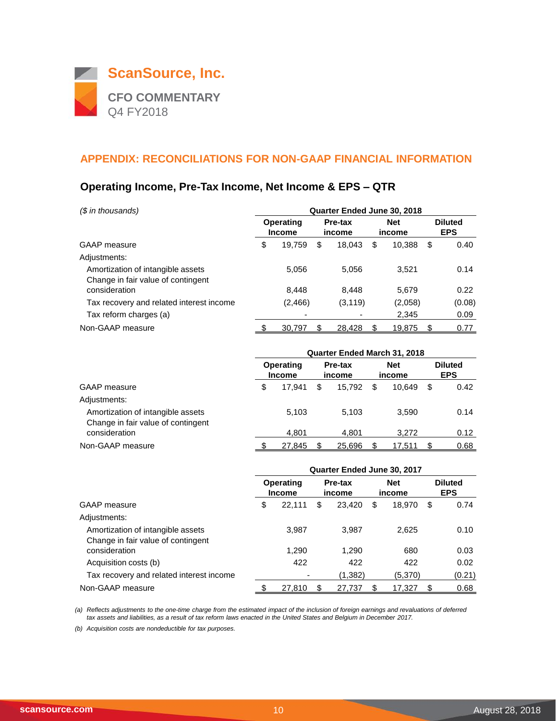

#### **Operating Income, Pre-Tax Income, Net Income & EPS – QTR**

| (\$ in thousands)                                                       | Quarter Ended June 30, 2018 |                          |                   |          |                      |         |                              |        |  |
|-------------------------------------------------------------------------|-----------------------------|--------------------------|-------------------|----------|----------------------|---------|------------------------------|--------|--|
|                                                                         | Operating<br><b>Income</b>  |                          | Pre-tax<br>income |          | <b>Net</b><br>income |         | <b>Diluted</b><br><b>EPS</b> |        |  |
| GAAP measure                                                            | \$                          | 19,759                   | \$                | 18.043   | \$                   | 10,388  | \$                           | 0.40   |  |
| Adjustments:                                                            |                             |                          |                   |          |                      |         |                              |        |  |
| Amortization of intangible assets<br>Change in fair value of contingent |                             | 5,056                    |                   | 5,056    |                      | 3.521   |                              | 0.14   |  |
| consideration                                                           |                             | 8.448                    |                   | 8.448    |                      | 5,679   |                              | 0.22   |  |
| Tax recovery and related interest income                                |                             | (2, 466)                 |                   | (3, 119) |                      | (2,058) |                              | (0.08) |  |
| Tax reform charges (a)                                                  |                             | $\overline{\phantom{0}}$ |                   |          |                      | 2,345   |                              | 0.09   |  |
| Non-GAAP measure                                                        |                             | 30.797                   |                   | 28.428   |                      | 19.875  | \$                           | 0.77   |  |

|                                                                         | Quarter Ended March 31, 2018 |                            |    |                   |    |                      |                              |      |
|-------------------------------------------------------------------------|------------------------------|----------------------------|----|-------------------|----|----------------------|------------------------------|------|
|                                                                         |                              | Operating<br><b>Income</b> |    | Pre-tax<br>income |    | <b>Net</b><br>income | <b>Diluted</b><br><b>EPS</b> |      |
| <b>GAAP</b> measure                                                     | \$                           | 17.941                     | \$ | 15.792            | \$ | 10.649               | \$                           | 0.42 |
| Adjustments:                                                            |                              |                            |    |                   |    |                      |                              |      |
| Amortization of intangible assets<br>Change in fair value of contingent |                              | 5.103                      |    | 5.103             |    | 3.590                |                              | 0.14 |
| consideration                                                           |                              | 4.801                      |    | 4.801             |    | 3.272                |                              | 0.12 |
| Non-GAAP measure                                                        |                              | 27.845                     |    | 25.696            |    | 17.511               |                              | 0.68 |

|                                                                         | Quarter Ended June 30, 2017 |                            |    |                   |                      |         |                              |        |  |
|-------------------------------------------------------------------------|-----------------------------|----------------------------|----|-------------------|----------------------|---------|------------------------------|--------|--|
|                                                                         |                             | Operating<br><b>Income</b> |    | Pre-tax<br>income | <b>Net</b><br>income |         | <b>Diluted</b><br><b>EPS</b> |        |  |
| GAAP measure                                                            | \$                          | 22.111                     | \$ | 23.420            | \$                   | 18.970  | \$                           | 0.74   |  |
| Adjustments:                                                            |                             |                            |    |                   |                      |         |                              |        |  |
| Amortization of intangible assets<br>Change in fair value of contingent |                             | 3.987                      |    | 3.987             |                      | 2.625   |                              | 0.10   |  |
| consideration                                                           |                             | 1,290                      |    | 1,290             |                      | 680     |                              | 0.03   |  |
| Acquisition costs (b)                                                   |                             | 422                        |    | 422               |                      | 422     |                              | 0.02   |  |
| Tax recovery and related interest income                                |                             |                            |    | (1,382)           |                      | (5,370) |                              | (0.21) |  |
| Non-GAAP measure                                                        |                             | 27,810                     |    | 27.737            | S                    | 17,327  | \$                           | 0.68   |  |

*(a) Reflects adjustments to the one-time charge from the estimated impact of the inclusion of foreign earnings and revaluations of deferred tax assets and liabilities, as a result of tax reform laws enacted in the United States and Belgium in December 2017.*

*(b) Acquisition costs are nondeductible for tax purposes.*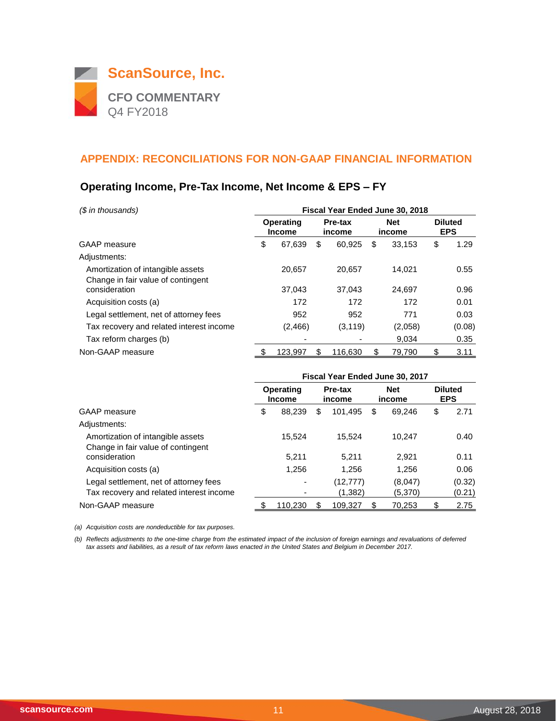

## **Operating Income, Pre-Tax Income, Net Income & EPS – FY**

| (\$ in thousands)                                                       | Fiscal Year Ended June 30, 2018 |                                                        |    |                      |    |                              |    |        |
|-------------------------------------------------------------------------|---------------------------------|--------------------------------------------------------|----|----------------------|----|------------------------------|----|--------|
|                                                                         |                                 | <b>Operating</b><br>Pre-tax<br><b>Income</b><br>income |    | <b>Net</b><br>income |    | <b>Diluted</b><br><b>EPS</b> |    |        |
| <b>GAAP</b> measure                                                     | \$                              | 67,639                                                 | \$ | 60,925               | \$ | 33,153                       | \$ | 1.29   |
| Adjustments:                                                            |                                 |                                                        |    |                      |    |                              |    |        |
| Amortization of intangible assets<br>Change in fair value of contingent |                                 | 20.657                                                 |    | 20.657               |    | 14.021                       |    | 0.55   |
| consideration                                                           |                                 | 37,043                                                 |    | 37.043               |    | 24.697                       |    | 0.96   |
| Acquisition costs (a)                                                   |                                 | 172                                                    |    | 172                  |    | 172                          |    | 0.01   |
| Legal settlement, net of attorney fees                                  |                                 | 952                                                    |    | 952                  |    | 771                          |    | 0.03   |
| Tax recovery and related interest income                                |                                 | (2, 466)                                               |    | (3, 119)             |    | (2,058)                      |    | (0.08) |
| Tax reform charges (b)                                                  |                                 |                                                        |    |                      |    | 9.034                        |    | 0.35   |
| Non-GAAP measure                                                        |                                 | 123.997                                                | S  | 116.630              | S  | 79.790                       | S  | 3.11   |

|                                          | Fiscal Year Ended June 30, 2017 |                                   |                   |           |                      |         |    |                              |
|------------------------------------------|---------------------------------|-----------------------------------|-------------------|-----------|----------------------|---------|----|------------------------------|
|                                          |                                 | <b>Operating</b><br><b>Income</b> | Pre-tax<br>income |           | <b>Net</b><br>income |         |    | <b>Diluted</b><br><b>EPS</b> |
| GAAP measure                             | \$                              | 88,239                            | \$                | 101,495   | \$                   | 69,246  | \$ | 2.71                         |
| Adjustments:                             |                                 |                                   |                   |           |                      |         |    |                              |
| Amortization of intangible assets        |                                 | 15.524                            |                   | 15.524    |                      | 10.247  |    | 0.40                         |
| Change in fair value of contingent       |                                 |                                   |                   |           |                      |         |    |                              |
| consideration                            |                                 | 5.211                             |                   | 5.211     |                      | 2.921   |    | 0.11                         |
| Acquisition costs (a)                    |                                 | 1.256                             |                   | 1.256     |                      | 1.256   |    | 0.06                         |
| Legal settlement, net of attorney fees   |                                 |                                   |                   | (12, 777) |                      | (8,047) |    | (0.32)                       |
| Tax recovery and related interest income |                                 |                                   |                   | (1,382)   |                      | (5,370) |    | (0.21)                       |
| Non-GAAP measure                         |                                 | 110.230                           | Ж                 | 109,327   |                      | 70.253  |    | 2.75                         |

*(a) Acquisition costs are nondeductible for tax purposes.*

*(b) Reflects adjustments to the one-time charge from the estimated impact of the inclusion of foreign earnings and revaluations of deferred tax assets and liabilities, as a result of tax reform laws enacted in the United States and Belgium in December 2017.*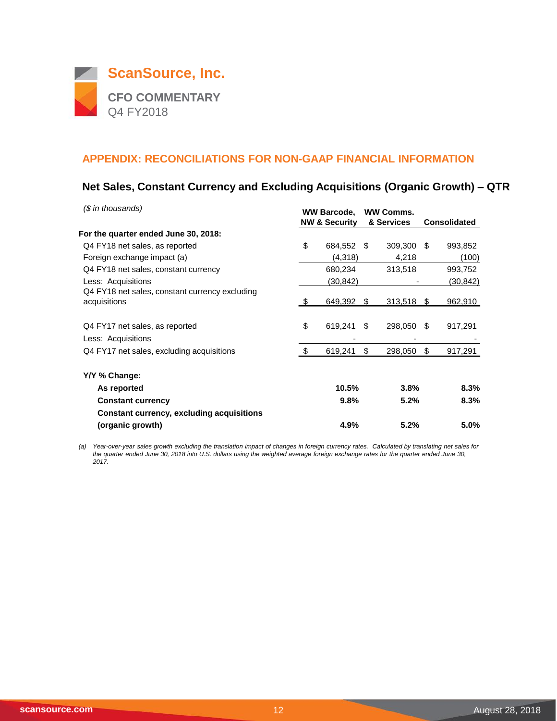

## **Net Sales, Constant Currency and Excluding Acquisitions (Organic Growth) – QTR**

| (\$ in thousands)                                    | <b>WW Barcode,</b><br><b>NW &amp; Security</b> |     | <b>WW Comms.</b><br>& Services |     | <b>Consolidated</b> |
|------------------------------------------------------|------------------------------------------------|-----|--------------------------------|-----|---------------------|
| For the quarter ended June 30, 2018:                 |                                                |     |                                |     |                     |
| Q4 FY18 net sales, as reported                       | \$<br>684,552                                  | \$. | 309,300                        | \$. | 993,852             |
| Foreign exchange impact (a)                          | (4,318)                                        |     | 4,218                          |     | (100)               |
| Q4 FY18 net sales, constant currency                 | 680,234                                        |     | 313,518                        |     | 993,752             |
| Less: Acquisitions                                   | (30,842)                                       |     |                                |     | (30,842)            |
| Q4 FY18 net sales, constant currency excluding       |                                                |     |                                |     |                     |
| acquisitions                                         | $649,392$ \$                                   |     | $313,518$ \$                   |     | <u>962,910</u>      |
| Q4 FY17 net sales, as reported<br>Less: Acquisitions | \$<br>619,241                                  | \$  | 298,050                        | -\$ | 917,291             |
| Q4 FY17 net sales, excluding acquisitions            | 619,241                                        | \$  | 298,050                        | S.  | 917,291             |
| Y/Y % Change:                                        |                                                |     |                                |     |                     |
| As reported                                          | 10.5%                                          |     | 3.8%                           |     | 8.3%                |
| <b>Constant currency</b>                             | 9.8%                                           |     | 5.2%                           |     | 8.3%                |
| <b>Constant currency, excluding acquisitions</b>     |                                                |     |                                |     |                     |
| (organic growth)                                     | 4.9%                                           |     | 5.2%                           |     | 5.0%                |

*(a) Year-over-year sales growth excluding the translation impact of changes in foreign currency rates. Calculated by translating net sales for*  the quarter ended June 30, 2018 into U.S. dollars using the weighted average foreign exchange rates for the quarter ended June 30, *2017.*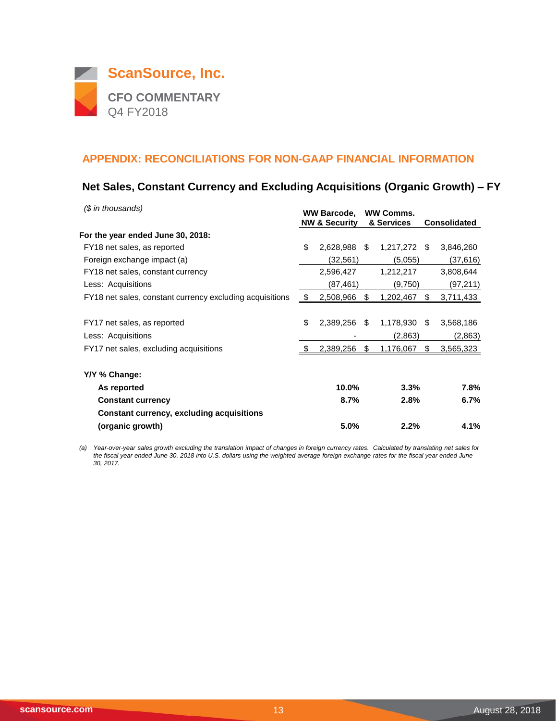

## **Net Sales, Constant Currency and Excluding Acquisitions (Organic Growth) – FY**

| $$$ in thousands)                                        |      | <b>WW Barcode,</b><br><b>NW &amp; Security</b> |      | <b>WW Comms.</b><br>& Services |    | <b>Consolidated</b> |
|----------------------------------------------------------|------|------------------------------------------------|------|--------------------------------|----|---------------------|
| For the year ended June 30, 2018:                        |      |                                                |      |                                |    |                     |
| FY18 net sales, as reported                              | \$   | 2,628,988                                      | \$   | 1,217,272 \$                   |    | 3,846,260           |
| Foreign exchange impact (a)                              |      | (32,561)                                       |      | (5,055)                        |    | (37,616)            |
| FY18 net sales, constant currency                        |      | 2,596,427                                      |      | 1,212,217                      |    | 3,808,644           |
| Less: Acquisitions                                       |      | (87,461)                                       |      | (9,750)                        |    | (97,211)            |
| FY18 net sales, constant currency excluding acquisitions | - \$ | 2,508,966                                      | \$   | 1,202,467                      | \$ | 3,711,433           |
|                                                          |      |                                                |      |                                |    |                     |
| FY17 net sales, as reported                              | \$   | 2,389,256                                      | - \$ | 1,178,930                      | \$ | 3,568,186           |
| Less: Acquisitions                                       |      |                                                |      | (2,863)                        |    | (2,863)             |
| FY17 net sales, excluding acquisitions                   |      | 2,389,256                                      | S    | 1,176,067                      | S. | 3,565,323           |
| Y/Y % Change:                                            |      |                                                |      |                                |    |                     |
| As reported                                              |      | 10.0%                                          |      | 3.3%                           |    | 7.8%                |
| <b>Constant currency</b>                                 |      | 8.7%                                           |      | 2.8%                           |    | 6.7%                |
| <b>Constant currency, excluding acquisitions</b>         |      |                                                |      |                                |    |                     |
| (organic growth)                                         |      | 5.0%                                           |      | 2.2%                           |    | 4.1%                |

*(a) Year-over-year sales growth excluding the translation impact of changes in foreign currency rates. Calculated by translating net sales for the fiscal year ended June 30, 2018 into U.S. dollars using the weighted average foreign exchange rates for the fiscal year ended June 30, 2017.*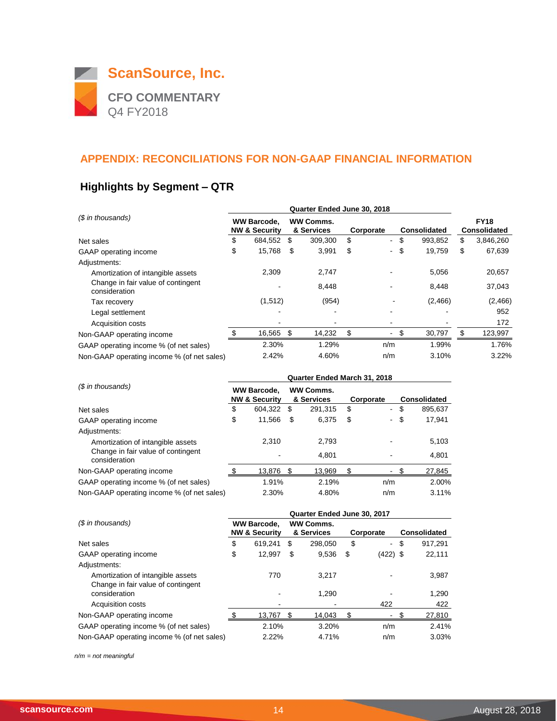

## **Highlights by Segment – QTR**

| (\$ in thousands)                                   |    | Quarter Ended June 30, 2018                    |      |                                |           |     |                     |         |    |                                    |  |
|-----------------------------------------------------|----|------------------------------------------------|------|--------------------------------|-----------|-----|---------------------|---------|----|------------------------------------|--|
|                                                     |    | <b>WW Barcode.</b><br><b>NW &amp; Security</b> |      | <b>WW Comms.</b><br>& Services | Corporate |     | <b>Consolidated</b> |         |    | <b>FY18</b><br><b>Consolidated</b> |  |
| Net sales                                           | \$ | 684,552                                        | \$   | 309,300                        | \$        | ۰.  | \$                  | 993,852 | \$ | 3,846,260                          |  |
| GAAP operating income                               | \$ | 15,768                                         | S    | 3,991                          | \$        | ۰.  | \$                  | 19,759  | \$ | 67,639                             |  |
| Adjustments:                                        |    |                                                |      |                                |           |     |                     |         |    |                                    |  |
| Amortization of intangible assets                   |    | 2,309                                          |      | 2,747                          |           |     |                     | 5,056   |    | 20,657                             |  |
| Change in fair value of contingent<br>consideration |    |                                                |      | 8,448                          |           |     |                     | 8,448   |    | 37,043                             |  |
| Tax recovery                                        |    | (1,512)                                        |      | (954)                          |           |     |                     | (2,466) |    | (2,466)                            |  |
| Legal settlement                                    |    |                                                |      | $\overline{\phantom{a}}$       |           |     |                     |         |    | 952                                |  |
| <b>Acquisition costs</b>                            |    |                                                |      |                                |           |     |                     |         |    | 172                                |  |
| Non-GAAP operating income                           |    | 16,565                                         | - \$ | 14,232                         | \$        |     | \$                  | 30,797  | \$ | 123,997                            |  |
| GAAP operating income % (of net sales)              |    | 2.30%                                          |      | 1.29%                          |           | n/m |                     | 1.99%   |    | 1.76%                              |  |
| Non-GAAP operating income % (of net sales)          |    | 2.42%                                          |      | 4.60%                          |           | n/m |                     | 3.10%   |    | 3.22%                              |  |

| (\$ in thousands)                                   |    | Quarter Ended March 31, 2018                   |      |                         |           |                |    |                     |  |  |  |  |
|-----------------------------------------------------|----|------------------------------------------------|------|-------------------------|-----------|----------------|----|---------------------|--|--|--|--|
|                                                     |    | <b>WW Barcode,</b><br><b>NW &amp; Security</b> |      | WW Comms.<br>& Services | Corporate |                |    | <b>Consolidated</b> |  |  |  |  |
| Net sales                                           | \$ | 604,322                                        | \$   | 291.315                 | \$        | $\sim$         | \$ | 895,637             |  |  |  |  |
| GAAP operating income                               | \$ | 11,566                                         | S    | 6.375                   | \$        | $\blacksquare$ | \$ | 17,941              |  |  |  |  |
| Adjustments:                                        |    |                                                |      |                         |           |                |    |                     |  |  |  |  |
| Amortization of intangible assets                   |    | 2.310                                          |      | 2.793                   |           |                |    | 5,103               |  |  |  |  |
| Change in fair value of contingent<br>consideration |    |                                                |      | 4.801                   |           |                |    | 4,801               |  |  |  |  |
| Non-GAAP operating income                           |    | 13,876                                         | - \$ | 13.969                  |           |                |    | 27,845              |  |  |  |  |
| GAAP operating income % (of net sales)              |    | 1.91%                                          |      | 2.19%                   |           | n/m            |    | 2.00%               |  |  |  |  |
| Non-GAAP operating income % (of net sales)          |    | 2.30%                                          |      | 4.80%                   |           | n/m            |    | 3.11%               |  |  |  |  |

|                                                     | Quarter Ended June 30, 2017                                                      |         |           |         |    |                     |    |         |  |  |  |
|-----------------------------------------------------|----------------------------------------------------------------------------------|---------|-----------|---------|----|---------------------|----|---------|--|--|--|
| (\$ in thousands)                                   | <b>WW Comms.</b><br><b>WW Barcode,</b><br><b>NW &amp; Security</b><br>& Services |         | Corporate |         |    | <b>Consolidated</b> |    |         |  |  |  |
| Net sales                                           | \$                                                                               | 619.241 | \$        | 298.050 | \$ | $\sim$              | \$ | 917.291 |  |  |  |
| GAAP operating income                               | \$                                                                               | 12.997  | S         | 9,536   | \$ | $(422)$ \$          |    | 22,111  |  |  |  |
| Adjustments:                                        |                                                                                  |         |           |         |    |                     |    |         |  |  |  |
| Amortization of intangible assets                   |                                                                                  | 770     |           | 3.217   |    |                     |    | 3,987   |  |  |  |
| Change in fair value of contingent<br>consideration |                                                                                  |         |           | 1,290   |    |                     |    | 1,290   |  |  |  |
| Acquisition costs                                   |                                                                                  | ٠       |           |         |    | 422                 |    | 422     |  |  |  |
| Non-GAAP operating income                           |                                                                                  | 13,767  | S         | 14,043  | S  |                     |    | 27,810  |  |  |  |
| GAAP operating income % (of net sales)              |                                                                                  | 2.10%   |           | 3.20%   |    | n/m                 |    | 2.41%   |  |  |  |
| Non-GAAP operating income % (of net sales)          |                                                                                  | 2.22%   |           | 4.71%   |    | n/m                 |    | 3.03%   |  |  |  |

*n/m = not meaningful*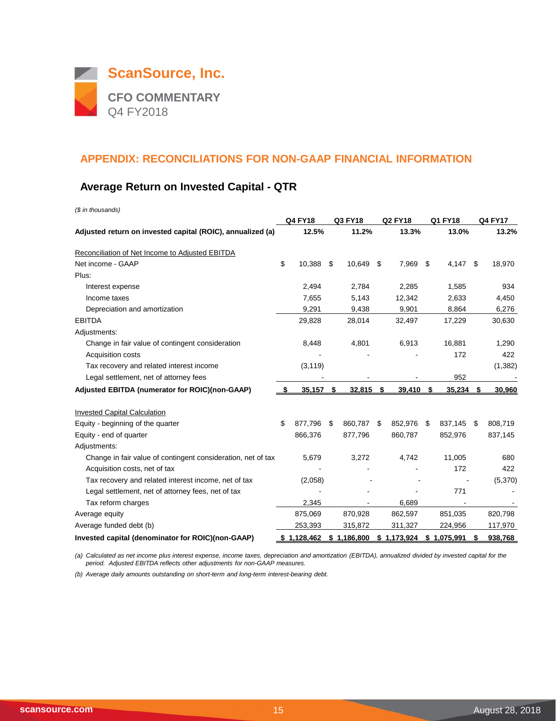

## **Average Return on Invested Capital - QTR**

| (\$ in thousands)                                            |                |     |             |    |                |    |             |    |                |
|--------------------------------------------------------------|----------------|-----|-------------|----|----------------|----|-------------|----|----------------|
|                                                              | <b>Q4 FY18</b> |     | Q3 FY18     |    | <b>Q2 FY18</b> |    | Q1 FY18     |    | <b>Q4 FY17</b> |
| Adjusted return on invested capital (ROIC), annualized (a)   | 12.5%          |     | 11.2%       |    | 13.3%          |    | 13.0%       |    | 13.2%          |
| Reconciliation of Net Income to Adjusted EBITDA              |                |     |             |    |                |    |             |    |                |
| Net income - GAAP                                            | \$<br>10,388   | -\$ | 10,649      | S  | 7,969          | S  | 4,147       | \$ | 18,970         |
| Plus:                                                        |                |     |             |    |                |    |             |    |                |
| Interest expense                                             | 2,494          |     | 2,784       |    | 2,285          |    | 1,585       |    | 934            |
| Income taxes                                                 | 7,655          |     | 5,143       |    | 12,342         |    | 2,633       |    | 4,450          |
| Depreciation and amortization                                | 9,291          |     | 9,438       |    | 9,901          |    | 8,864       |    | 6,276          |
| <b>EBITDA</b>                                                | 29,828         |     | 28,014      |    | 32,497         |    | 17,229      |    | 30,630         |
| Adjustments:                                                 |                |     |             |    |                |    |             |    |                |
| Change in fair value of contingent consideration             | 8,448          |     | 4,801       |    | 6,913          |    | 16,881      |    | 1,290          |
| Acquisition costs                                            |                |     |             |    |                |    | 172         |    | 422            |
| Tax recovery and related interest income                     | (3, 119)       |     |             |    |                |    |             |    | (1, 382)       |
| Legal settlement, net of attorney fees                       |                |     |             |    |                |    | 952         |    |                |
| Adjusted EBITDA (numerator for ROIC)(non-GAAP)               | 35,157         | \$  | 32,815      | \$ | 39,410         | \$ | 35,234      | \$ | 30,960         |
| <b>Invested Capital Calculation</b>                          |                |     |             |    |                |    |             |    |                |
| Equity - beginning of the quarter                            | \$<br>877,796  | \$  | 860,787     | \$ | 852,976        | \$ | 837,145     | \$ | 808,719        |
| Equity - end of quarter                                      | 866,376        |     | 877,796     |    | 860,787        |    | 852,976     |    | 837,145        |
| Adjustments:                                                 |                |     |             |    |                |    |             |    |                |
| Change in fair value of contingent consideration, net of tax | 5,679          |     | 3,272       |    | 4,742          |    | 11,005      |    | 680            |
| Acquisition costs, net of tax                                |                |     |             |    |                |    | 172         |    | 422            |
| Tax recovery and related interest income, net of tax         | (2,058)        |     |             |    |                |    |             |    | (5,370)        |
| Legal settlement, net of attorney fees, net of tax           |                |     |             |    |                |    | 771         |    |                |
| Tax reform charges                                           | 2,345          |     |             |    | 6,689          |    |             |    |                |
| Average equity                                               | 875,069        |     | 870,928     |    | 862,597        |    | 851,035     |    | 820,798        |
| Average funded debt (b)                                      | 253,393        |     | 315,872     |    | 311,327        |    | 224,956     |    | 117,970        |
| Invested capital (denominator for ROIC)(non-GAAP)            | 1,128,462      |     | \$1,186,800 |    | \$1,173,924    |    | \$1,075,991 | S  | 938,768        |

*(a) Calculated as net income plus interest expense, income taxes, depreciation and amortization (EBITDA), annualized divided by invested capital for the period. Adjusted EBITDA reflects other adjustments for non-GAAP measures.*

*(b) Average daily amounts outstanding on short-term and long-term interest-bearing debt.*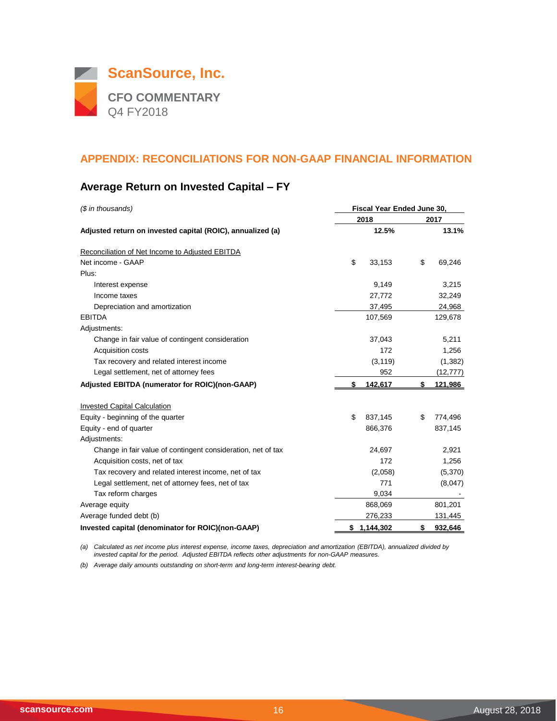

## **Average Return on Invested Capital – FY**

| (\$ in thousands)                                            | Fiscal Year Ended June 30, |          |      |           |  |  |  |  |  |
|--------------------------------------------------------------|----------------------------|----------|------|-----------|--|--|--|--|--|
|                                                              | 2018                       |          | 2017 |           |  |  |  |  |  |
| Adjusted return on invested capital (ROIC), annualized (a)   |                            | 12.5%    |      | 13.1%     |  |  |  |  |  |
| Reconciliation of Net Income to Adjusted EBITDA              |                            |          |      |           |  |  |  |  |  |
| Net income - GAAP                                            | \$                         | 33,153   | \$   | 69,246    |  |  |  |  |  |
| Plus:                                                        |                            |          |      |           |  |  |  |  |  |
| Interest expense                                             |                            | 9,149    |      | 3,215     |  |  |  |  |  |
| Income taxes                                                 |                            | 27,772   |      | 32,249    |  |  |  |  |  |
| Depreciation and amortization                                |                            | 37,495   |      | 24,968    |  |  |  |  |  |
| <b>EBITDA</b>                                                |                            | 107,569  |      | 129,678   |  |  |  |  |  |
| Adjustments:                                                 |                            |          |      |           |  |  |  |  |  |
| Change in fair value of contingent consideration             |                            | 37,043   |      | 5,211     |  |  |  |  |  |
| Acquisition costs                                            |                            | 172      |      | 1,256     |  |  |  |  |  |
| Tax recovery and related interest income                     |                            | (3, 119) |      | (1, 382)  |  |  |  |  |  |
| Legal settlement, net of attorney fees                       |                            | 952      |      | (12, 777) |  |  |  |  |  |
| Adjusted EBITDA (numerator for ROIC)(non-GAAP)               | \$                         | 142,617  | \$   | 121,986   |  |  |  |  |  |
| <b>Invested Capital Calculation</b>                          |                            |          |      |           |  |  |  |  |  |
| Equity - beginning of the quarter                            | \$                         | 837,145  | \$   | 774,496   |  |  |  |  |  |
| Equity - end of quarter                                      |                            | 866,376  |      | 837,145   |  |  |  |  |  |
| Adjustments:                                                 |                            |          |      |           |  |  |  |  |  |
| Change in fair value of contingent consideration, net of tax |                            | 24,697   |      | 2,921     |  |  |  |  |  |
| Acquisition costs, net of tax                                |                            | 172      |      | 1,256     |  |  |  |  |  |
| Tax recovery and related interest income, net of tax         |                            | (2,058)  |      | (5,370)   |  |  |  |  |  |
| Legal settlement, net of attorney fees, net of tax           |                            | 771      |      | (8,047)   |  |  |  |  |  |
| Tax reform charges                                           |                            | 9,034    |      |           |  |  |  |  |  |
| Average equity                                               |                            | 868,069  |      | 801,201   |  |  |  |  |  |
| Average funded debt (b)                                      |                            | 276,233  |      | 131,445   |  |  |  |  |  |
| Invested capital (denominator for ROIC)(non-GAAP)            | \$1,144,302                |          | \$   | 932,646   |  |  |  |  |  |

*(a) Calculated as net income plus interest expense, income taxes, depreciation and amortization (EBITDA), annualized divided by invested capital for the period. Adjusted EBITDA reflects other adjustments for non-GAAP measures.*

*(b) Average daily amounts outstanding on short-term and long-term interest-bearing debt.*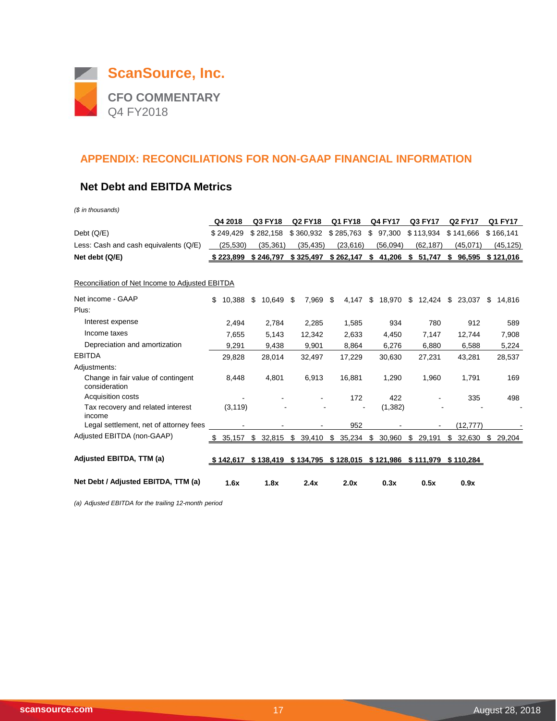

#### **Net Debt and EBITDA Metrics**

*(\$ in thousands)*

|                                                     | Q4 2018      | Q3 FY18      | <b>Q2 FY18</b> | Q1 FY18    | <b>Q4 FY17</b> | Q3 FY17         | <b>Q2 FY17</b>                                    | Q1 FY17      |
|-----------------------------------------------------|--------------|--------------|----------------|------------|----------------|-----------------|---------------------------------------------------|--------------|
| Debt $(Q/E)$                                        | \$249.429    | \$282.158    | \$360,932      | \$285,763  | 97.300<br>\$   | \$113.934       | \$141.666                                         | \$166,141    |
| Less: Cash and cash equivalents (Q/E)               | (25,530)     | (35, 361)    | (35, 435)      | (23, 616)  | (56,094)       | (62, 187)       | (45,071)                                          | (45, 125)    |
| Net debt (Q/E)                                      | \$223,899    | \$246,797    | \$325,497      | \$262,147  | \$41,206       | \$<br>51,747 \$ | 96,595                                            | \$121,016    |
| Reconciliation of Net Income to Adjusted EBITDA     |              |              |                |            |                |                 |                                                   |              |
| Net income - GAAP                                   | 10,388<br>\$ | 10,649<br>\$ | 7,969<br>\$    | 4,147<br>S | \$<br>18,970   | 12,424<br>\$    | \$<br>23,037                                      | \$<br>14,816 |
| Plus:                                               |              |              |                |            |                |                 |                                                   |              |
| Interest expense                                    | 2,494        | 2,784        | 2,285          | 1,585      | 934            | 780             | 912                                               | 589          |
| Income taxes                                        | 7,655        | 5,143        | 12,342         | 2,633      | 4,450          | 7,147           | 12,744                                            | 7,908        |
| Depreciation and amortization                       | 9,291        | 9,438        | 9,901          | 8,864      | 6,276          | 6,880           | 6,588                                             | 5,224        |
| <b>EBITDA</b>                                       | 29,828       | 28,014       | 32,497         | 17,229     | 30,630         | 27,231          | 43,281                                            | 28,537       |
| Adjustments:                                        |              |              |                |            |                |                 |                                                   |              |
| Change in fair value of contingent<br>consideration | 8,448        | 4,801        | 6,913          | 16,881     | 1,290          | 1,960           | 1,791                                             | 169          |
| Acquisition costs                                   |              |              |                | 172        | 422            |                 | 335                                               | 498          |
| Tax recovery and related interest<br>income         | (3, 119)     |              |                |            | (1, 382)       |                 |                                                   |              |
| Legal settlement, net of attorney fees              |              |              |                | 952        |                |                 | (12, 777)                                         |              |
| Adjusted EBITDA (non-GAAP)                          | 35,157<br>\$ | \$32,815     | \$39,410       | \$35,234   | \$<br>30,960   | \$<br>29,191    | \$<br>32,630                                      | \$29,204     |
| Adjusted EBITDA, TTM (a)                            | \$142,617    | \$138,419    |                |            |                |                 | \$134,795 \$128,015 \$121,986 \$111,979 \$110,284 |              |
| Net Debt / Adjusted EBITDA, TTM (a)                 | 1.6x         | 1.8x         | 2.4x           | 2.0x       | 0.3x           | 0.5x            | 0.9x                                              |              |

*(a) Adjusted EBITDA for the trailing 12-month period*